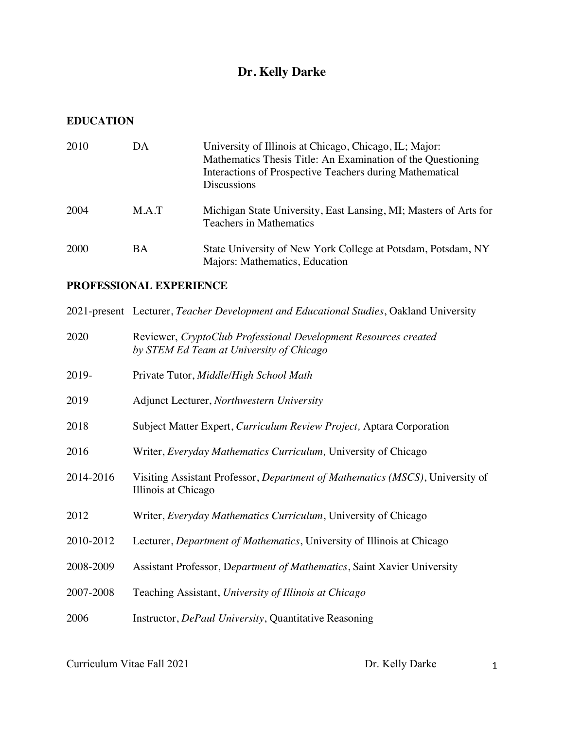# **Dr. Kelly Darke**

#### **EDUCATION**

| 2010        | DA    | University of Illinois at Chicago, Chicago, IL; Major:<br>Mathematics Thesis Title: An Examination of the Questioning<br>Interactions of Prospective Teachers during Mathematical<br><b>Discussions</b> |
|-------------|-------|---------------------------------------------------------------------------------------------------------------------------------------------------------------------------------------------------------|
| 2004        | M.A.T | Michigan State University, East Lansing, MI; Masters of Arts for<br><b>Teachers in Mathematics</b>                                                                                                      |
| <b>2000</b> | BA    | State University of New York College at Potsdam, Potsdam, NY<br>Majors: Mathematics, Education                                                                                                          |

## **PROFESSIONAL EXPERIENCE**

|           | 2021-present Lecturer, Teacher Development and Educational Studies, Oakland University                      |  |
|-----------|-------------------------------------------------------------------------------------------------------------|--|
| 2020      | Reviewer, CryptoClub Professional Development Resources created<br>by STEM Ed Team at University of Chicago |  |
| 2019-     | Private Tutor, Middle/High School Math                                                                      |  |
| 2019      | Adjunct Lecturer, Northwestern University                                                                   |  |
| 2018      | Subject Matter Expert, Curriculum Review Project, Aptara Corporation                                        |  |
| 2016      | Writer, <i>Everyday Mathematics Curriculum</i> , University of Chicago                                      |  |
| 2014-2016 | Visiting Assistant Professor, Department of Mathematics (MSCS), University of<br>Illinois at Chicago        |  |
| 2012      | Writer, <i>Everyday Mathematics Curriculum</i> , University of Chicago                                      |  |
| 2010-2012 | Lecturer, <i>Department of Mathematics</i> , University of Illinois at Chicago                              |  |
| 2008-2009 | Assistant Professor, Department of Mathematics, Saint Xavier University                                     |  |
| 2007-2008 | Teaching Assistant, University of Illinois at Chicago                                                       |  |
| 2006      | Instructor, DePaul University, Quantitative Reasoning                                                       |  |
|           |                                                                                                             |  |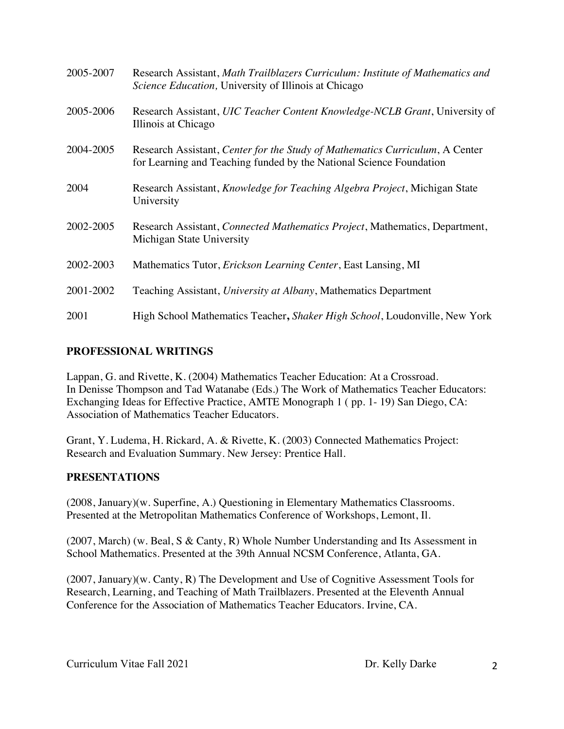| 2005-2007 | Research Assistant, Math Trailblazers Curriculum: Institute of Mathematics and<br><i>Science Education</i> , University of Illinois at Chicago      |  |
|-----------|-----------------------------------------------------------------------------------------------------------------------------------------------------|--|
| 2005-2006 | Research Assistant, UIC Teacher Content Knowledge-NCLB Grant, University of<br>Illinois at Chicago                                                  |  |
| 2004-2005 | Research Assistant, Center for the Study of Mathematics Curriculum, A Center<br>for Learning and Teaching funded by the National Science Foundation |  |
| 2004      | Research Assistant, <i>Knowledge for Teaching Algebra Project</i> , Michigan State<br>University                                                    |  |
| 2002-2005 | Research Assistant, Connected Mathematics Project, Mathematics, Department,<br>Michigan State University                                            |  |
| 2002-2003 | Mathematics Tutor, Erickson Learning Center, East Lansing, MI                                                                                       |  |
| 2001-2002 | Teaching Assistant, University at Albany, Mathematics Department                                                                                    |  |
| 2001      | High School Mathematics Teacher, Shaker High School, Loudonville, New York                                                                          |  |

#### **PROFESSIONAL WRITINGS**

Lappan, G. and Rivette, K. (2004) Mathematics Teacher Education: At a Crossroad. In Denisse Thompson and Tad Watanabe (Eds.) The Work of Mathematics Teacher Educators: Exchanging Ideas for Effective Practice, AMTE Monograph 1 ( pp. 1- 19) San Diego, CA: Association of Mathematics Teacher Educators.

Grant, Y. Ludema, H. Rickard, A. & Rivette, K. (2003) Connected Mathematics Project: Research and Evaluation Summary. New Jersey: Prentice Hall.

#### **PRESENTATIONS**

(2008, January)(w. Superfine, A.) Questioning in Elementary Mathematics Classrooms. Presented at the Metropolitan Mathematics Conference of Workshops, Lemont, Il.

(2007, March) (w. Beal, S & Canty, R) Whole Number Understanding and Its Assessment in School Mathematics. Presented at the 39th Annual NCSM Conference, Atlanta, GA.

(2007, January)(w. Canty, R) The Development and Use of Cognitive Assessment Tools for Research, Learning, and Teaching of Math Trailblazers. Presented at the Eleventh Annual Conference for the Association of Mathematics Teacher Educators. Irvine, CA.